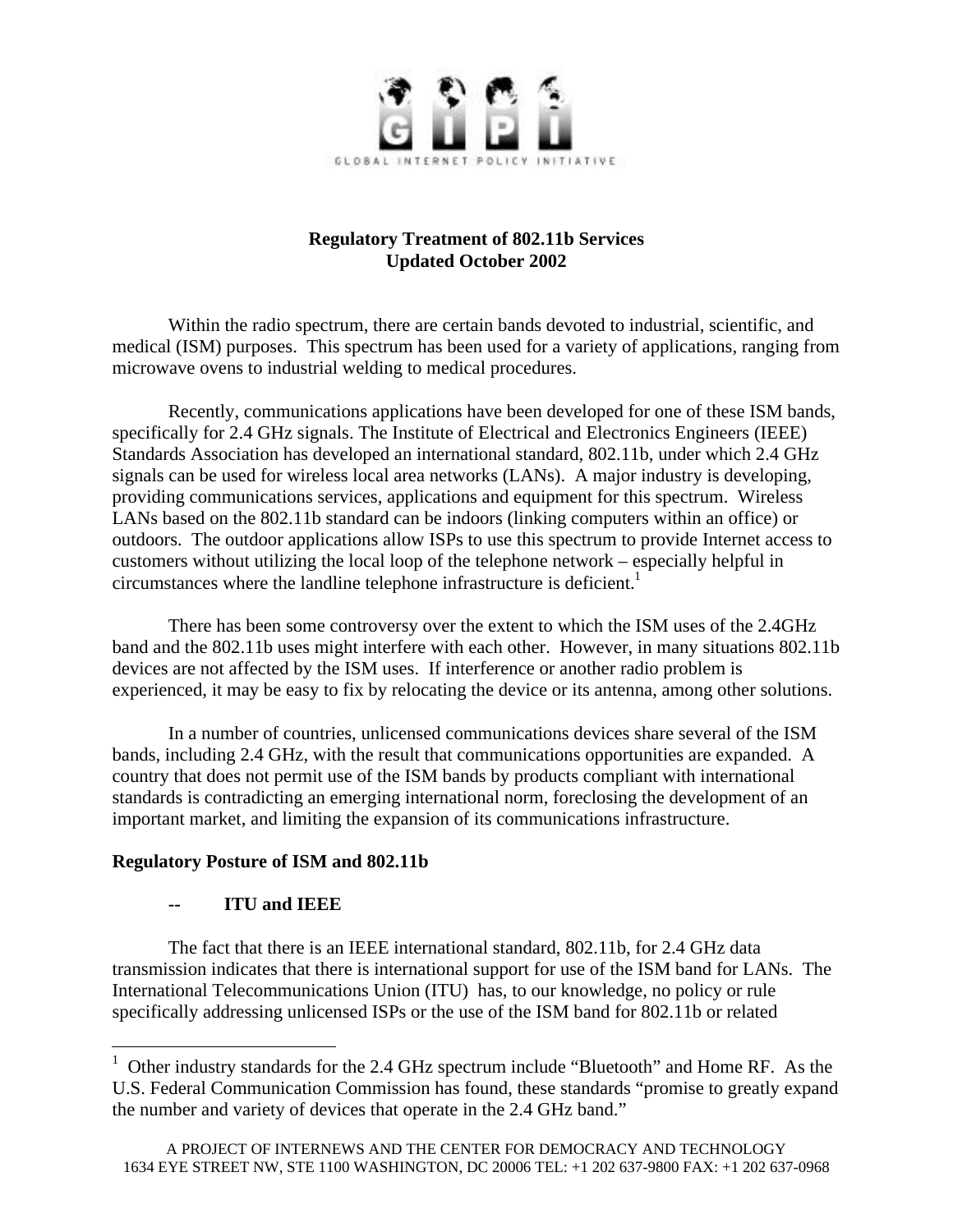

# **Regulatory Treatment of 802.11b Services Updated October 2002**

Within the radio spectrum, there are certain bands devoted to industrial, scientific, and medical (ISM) purposes. This spectrum has been used for a variety of applications, ranging from microwave ovens to industrial welding to medical procedures.

Recently, communications applications have been developed for one of these ISM bands, specifically for 2.4 GHz signals. The Institute of Electrical and Electronics Engineers (IEEE) Standards Association has developed an international standard, 802.11b, under which 2.4 GHz signals can be used for wireless local area networks (LANs). A major industry is developing, providing communications services, applications and equipment for this spectrum. Wireless LANs based on the 802.11b standard can be indoors (linking computers within an office) or outdoors. The outdoor applications allow ISPs to use this spectrum to provide Internet access to customers without utilizing the local loop of the telephone network – especially helpful in circumstances where the landline telephone infrastructure is deficient.<sup>1</sup>

There has been some controversy over the extent to which the ISM uses of the 2.4GHz band and the 802.11b uses might interfere with each other. However, in many situations 802.11b devices are not affected by the ISM uses. If interference or another radio problem is experienced, it may be easy to fix by relocating the device or its antenna, among other solutions.

In a number of countries, unlicensed communications devices share several of the ISM bands, including 2.4 GHz, with the result that communications opportunities are expanded. A country that does not permit use of the ISM bands by products compliant with international standards is contradicting an emerging international norm, foreclosing the development of an important market, and limiting the expansion of its communications infrastructure.

## **Regulatory Posture of ISM and 802.11b**

## **-- ITU and IEEE**

 $\overline{a}$ 

The fact that there is an IEEE international standard, 802.11b, for 2.4 GHz data transmission indicates that there is international support for use of the ISM band for LANs. The International Telecommunications Union (ITU) has, to our knowledge, no policy or rule specifically addressing unlicensed ISPs or the use of the ISM band for 802.11b or related

<sup>&</sup>lt;sup>1</sup> Other industry standards for the 2.4 GHz spectrum include "Bluetooth" and Home RF. As the U.S. Federal Communication Commission has found, these standards "promise to greatly expand the number and variety of devices that operate in the 2.4 GHz band."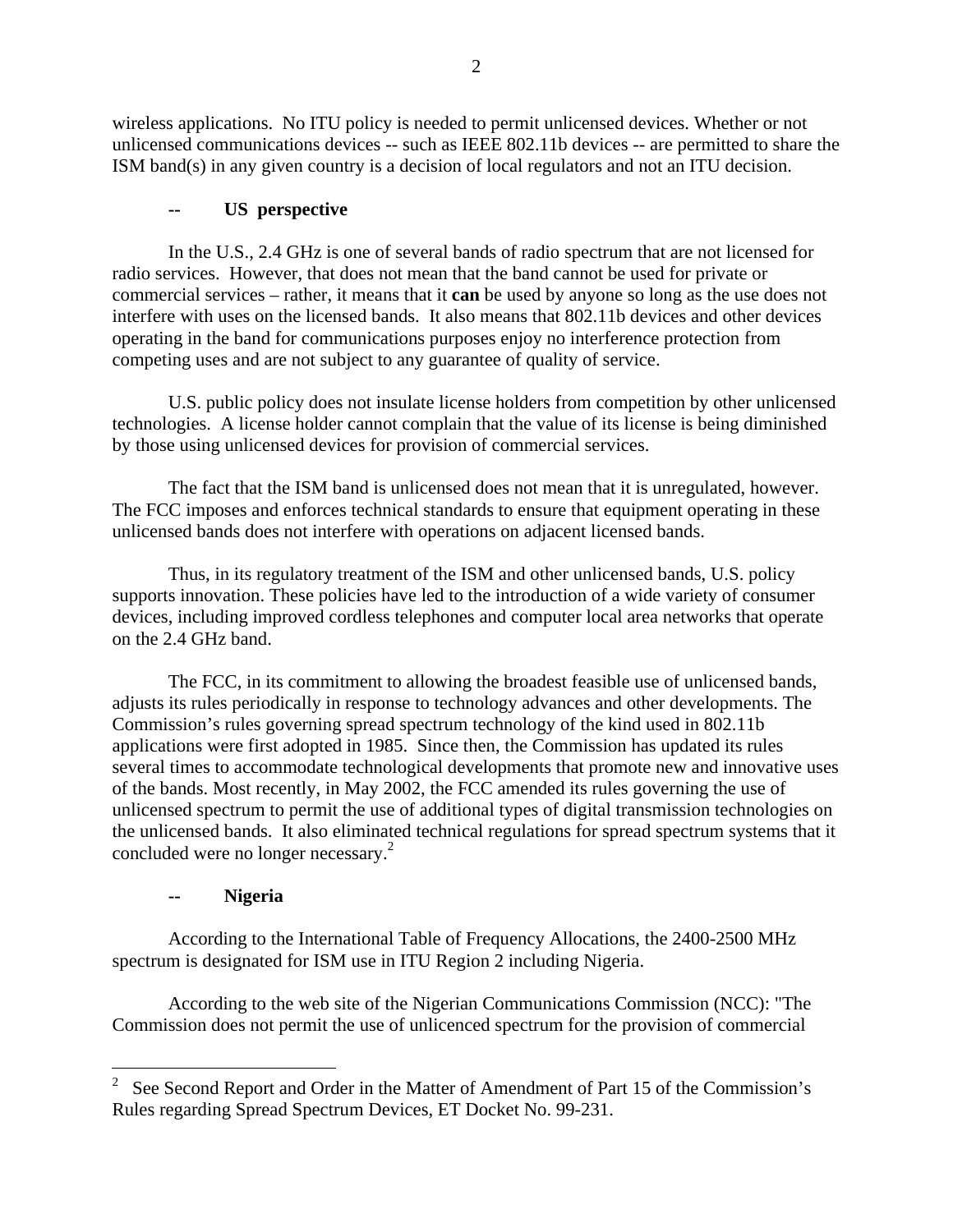wireless applications. No ITU policy is needed to permit unlicensed devices. Whether or not unlicensed communications devices -- such as IEEE 802.11b devices -- are permitted to share the ISM band(s) in any given country is a decision of local regulators and not an ITU decision.

# **-- US perspective**

In the U.S., 2.4 GHz is one of several bands of radio spectrum that are not licensed for radio services. However, that does not mean that the band cannot be used for private or commercial services – rather, it means that it **can** be used by anyone so long as the use does not interfere with uses on the licensed bands. It also means that 802.11b devices and other devices operating in the band for communications purposes enjoy no interference protection from competing uses and are not subject to any guarantee of quality of service.

U.S. public policy does not insulate license holders from competition by other unlicensed technologies. A license holder cannot complain that the value of its license is being diminished by those using unlicensed devices for provision of commercial services.

The fact that the ISM band is unlicensed does not mean that it is unregulated, however. The FCC imposes and enforces technical standards to ensure that equipment operating in these unlicensed bands does not interfere with operations on adjacent licensed bands.

Thus, in its regulatory treatment of the ISM and other unlicensed bands, U.S. policy supports innovation. These policies have led to the introduction of a wide variety of consumer devices, including improved cordless telephones and computer local area networks that operate on the 2.4 GHz band.

The FCC, in its commitment to allowing the broadest feasible use of unlicensed bands, adjusts its rules periodically in response to technology advances and other developments. The Commission's rules governing spread spectrum technology of the kind used in 802.11b applications were first adopted in 1985. Since then, the Commission has updated its rules several times to accommodate technological developments that promote new and innovative uses of the bands. Most recently, in May 2002, the FCC amended its rules governing the use of unlicensed spectrum to permit the use of additional types of digital transmission technologies on the unlicensed bands. It also eliminated technical regulations for spread spectrum systems that it concluded were no longer necessary.<sup>2</sup>

# **-- Nigeria**

 $\overline{a}$ 

According to the International Table of Frequency Allocations, the 2400-2500 MHz spectrum is designated for ISM use in ITU Region 2 including Nigeria.

According to the web site of the Nigerian Communications Commission (NCC): "The Commission does not permit the use of unlicenced spectrum for the provision of commercial

<sup>&</sup>lt;sup>2</sup> See Second Report and Order in the Matter of Amendment of Part 15 of the Commission's Rules regarding Spread Spectrum Devices, ET Docket No. 99-231.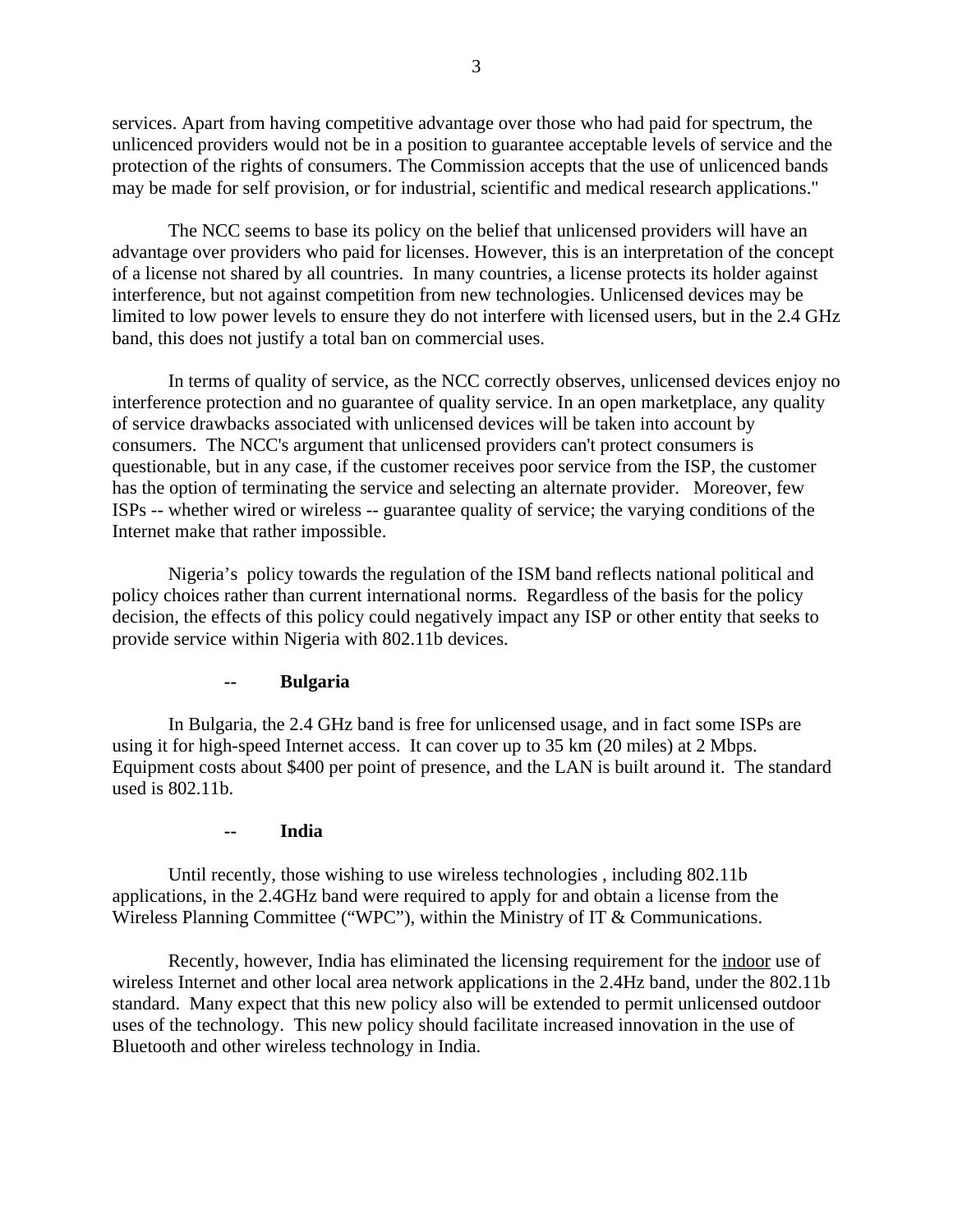services. Apart from having competitive advantage over those who had paid for spectrum, the unlicenced providers would not be in a position to guarantee acceptable levels of service and the protection of the rights of consumers. The Commission accepts that the use of unlicenced bands may be made for self provision, or for industrial, scientific and medical research applications."

The NCC seems to base its policy on the belief that unlicensed providers will have an advantage over providers who paid for licenses. However, this is an interpretation of the concept of a license not shared by all countries. In many countries, a license protects its holder against interference, but not against competition from new technologies. Unlicensed devices may be limited to low power levels to ensure they do not interfere with licensed users, but in the 2.4 GHz band, this does not justify a total ban on commercial uses.

In terms of quality of service, as the NCC correctly observes, unlicensed devices enjoy no interference protection and no guarantee of quality service. In an open marketplace, any quality of service drawbacks associated with unlicensed devices will be taken into account by consumers. The NCC's argument that unlicensed providers can't protect consumers is questionable, but in any case, if the customer receives poor service from the ISP, the customer has the option of terminating the service and selecting an alternate provider. Moreover, few ISPs -- whether wired or wireless -- guarantee quality of service; the varying conditions of the Internet make that rather impossible.

Nigeria's policy towards the regulation of the ISM band reflects national political and policy choices rather than current international norms. Regardless of the basis for the policy decision, the effects of this policy could negatively impact any ISP or other entity that seeks to provide service within Nigeria with 802.11b devices.

## **Bulgaria**

In Bulgaria, the 2.4 GHz band is free for unlicensed usage, and in fact some ISPs are using it for high-speed Internet access. It can cover up to 35 km (20 miles) at 2 Mbps. Equipment costs about \$400 per point of presence, and the LAN is built around it. The standard used is 802.11b.

#### **-- India**

Until recently, those wishing to use wireless technologies , including 802.11b applications, in the 2.4GHz band were required to apply for and obtain a license from the Wireless Planning Committee ("WPC"), within the Ministry of IT & Communications.

Recently, however, India has eliminated the licensing requirement for the indoor use of wireless Internet and other local area network applications in the 2.4Hz band, under the 802.11b standard. Many expect that this new policy also will be extended to permit unlicensed outdoor uses of the technology. This new policy should facilitate increased innovation in the use of Bluetooth and other wireless technology in India.